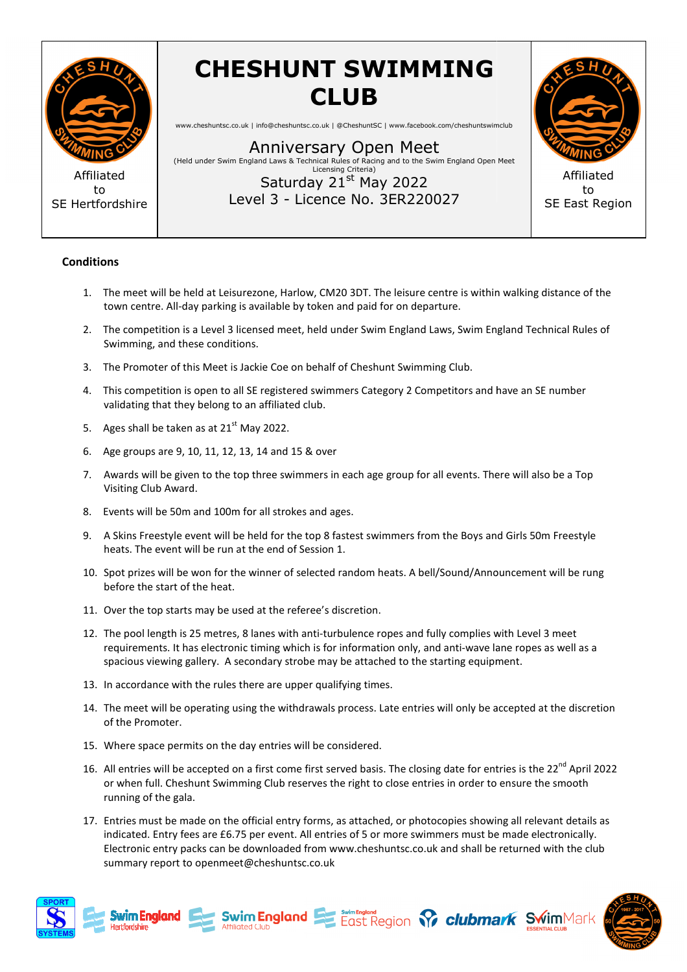

to SE Hertfordshire **CHESHUNT SWIMMING CLUB**

www.cheshuntsc.co.uk | info@cheshuntsc.co.uk | @CheshuntSC | www.facebook.com/cheshuntswimclub

Anniversary Open Meet<br>(Held under Swim England Laws & Technical Rules of Racing and to the Swim England Open Meet) Licensing Criteria) Saturday 21<sup>st</sup> May 2022

Level 3 - Licence No. 3ER220027



to SE East Region

## **Conditions**

- 1. The meet will be held at Leisurezone, Harlow, CM20 3DT. The leisure centre is within walking distance of the town centre. All-day parking is available by token and paid for on departure.
- 2. The competition is a Level 3 licensed meet, held under Swim England Laws, Swim England Technical Rules of Swimming, and these conditions.
- 3. The Promoter of this Meet is Jackie Coe on behalf of Cheshunt Swimming Club.
- 4. This competition is open to all SE registered swimmers Category 2 Competitors and have an SE number validating that they belong to an affiliated club.
- 5. Ages shall be taken as at  $21<sup>st</sup>$  May 2022.
- 6. Age groups are 9, 10, 11, 12, 13, 14 and 15 & over
- 7. Awards will be given to the top three swimmers in each age group for all events. There will also be a Top Visiting Club Award.
- 8. Events will be 50m and 100m for all strokes and ages.
- 9. A Skins Freestyle event will be held for the top 8 fastest swimmers from the Boys and Girls 50m Freestyle heats. The event will be run at the end of Session 1.
- 10. Spot prizes will be won for the winner of selected random heats. A bell/Sound/Announcement will be rung before the start of the heat. vent will be run at the end of Session 1.<br>will be won for the winner of selected random heats. A bell/Sound/Announcement will be<br>tart of the heat.<br>p starts may be used at the referee's discretion.<br>gth is 25 metres, 8 lanes
- 11. Over the top starts may be used at the referee's discretion.
- 12. The pool length is 25 metres, 8 lanes with anti-turbulence ropes and fully complies with Level 3 meet requirements. It has electronic timing which is for information only, and anti-wave lane ropes as well as a spacious viewing gallery. A secondary strobe may be attached to the starting equipment. ers in each age group for all events. There will also be a Top<br>
Ind ages.<br>
p 8 fastest swimmers from the Boys and Girls 50m Freestyle<br>
sion 1.<br>
cted random heats. A bell/Sound/Announcement will be rung<br>
ee's discretion.<br>
t
- 13. In accordance with the rules there are upper qualifying times.
- 14. The meet will be operating using the withdrawals process. Late entries will only be accepted at the discreti of the Promoter.
- 15. Where space permits on the day entries will be considered.
- 16. All entries will be accepted on a first come first served basis. The closing date for entries is the 22<sup>nd</sup> April 2022 or when full. Cheshunt Swimming Club reserves the right to close entries in order to ensure the smooth running of the gala.
- 17. Entries must be made on the official entry forms, as attached, or photocopies showing all relevant details as indicated. Entry fees are £6.75 per event. All entries of 5 or more swimmers must be made electronically. Electronic entry packs can be downloaded from www.cheshuntsc.co.uk and shall be returned with the club summary report to openmeet@cheshuntsc.co.uk





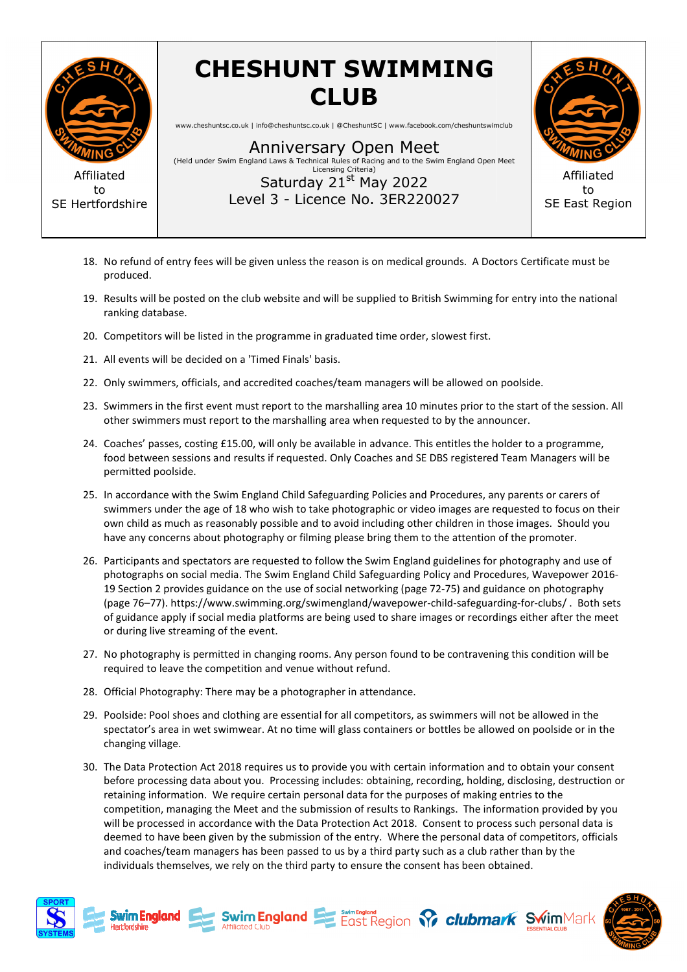

Affiliated to SE Hertfordshire

## **CHESHUNT SWIMMING CLUB**

www.cheshuntsc.co.uk | info@cheshuntsc.co.uk | @CheshuntSC | www.facebook.com/cheshuntswimclub

Anniversary Open Meet<br>(Held under Swim England Laws & Technical Rules of Racing and to the Swim England Open Meet) Licensing Criteria)

Level 3 - Licence No. 3ER220027 Saturday 21<sup>st</sup> May 2022



to SE East Region

- 18. No refund of entry fees will be given unless the reason is on medical grounds. A Doctors Certificate must be produced.
- 19. Results will be posted on the club website and will be supplied to British Swimming for entry into the national ranking database.
- 20. Competitors will be listed in the programme in graduated time order, slowest first.
- 21. All events will be decided on a 'Timed Finals' basis.
- 22. Only swimmers, officials, and accredited coaches/team managers will be allowed on poolside.
- 23. Swimmers in the first event must report to the marshalling area 10 minutes prior to the start of the session. All other swimmers must report to the marshalling area when requested to by the announcer.<br>24. Coaches' pass other swimmers must report to the marshalling area when requested to by the announcer.
- 24. Coaches' passes, costing £15.00, will only be available in advance. This entitles the holder to a programme, food between sessions and results if requested. Only Coaches and SE DBS registered Team Managers will be permitted poolside. his entitles the holder to a programme,<br>E DBS registered Team Managers will b<br>d Procedures, any parents or carers of
- 25. In accordance with the Swim England Child Safeguarding Policies and Procedures, any parents or carers of swimmers under the age of 18 who wish to take photographic or video images are requested to focus on their own child as much as reasonably possible and to avoid including other children in those images. Should you have any concerns about photography or filming please bring them to the attention of the promoter.
- 26. Participants and spectators are requested to follow the Swim England guidelines for photography and use of have any concerns about photography or filming please bring them to the attention of the promoter.<br>Participants and spectators are requested to follow the Swim England guidelines for photography and use of<br>photographs on s 19 Section 2 provides guidance on the use of social networking (page 72 72-75) and guidance on photography 19 Section 2 provides guidance on the use of social networking (page 72-75) and guidance on photography<br>(page 76–77). https://www.swimming.org/swimengland/wavepower-child-safeguarding-for-clubs/ . Both sets of guidance apply if social media platforms are being used to share images or recordings either after the meet or during live streaming of the event.
- 27. No photography is permitted in changing rooms. Any person found to be contravening this condition will be required to leave the competition and venue without refund.
- 28. Official Photography: There may be a photographer in attendance.
- 29. Poolside: Pool shoes and clothing are essential for all competitors, as swimmers will not be allowed in the spectator's area in wet swimwear. At no time will glass containers or bottles be allowed on poolside or in the changing village.
- 30. The Data Protection Act 2018 requires us to provide you with certain information and to obtain your consent before processing data about you. Processing includes: obtaining, recording, holding, disclosing, destruction or retaining information. We require certain personal data for the purposes of making entries to the competition, managing the Meet and the submission of results to Rankings. The information provided by you will be processed in accordance with the Data Protection Act 2018. Consent to process such personal data is competition, managing the Meet and the submission of results to Rankings. The information provided by you<br>will be processed in accordance with the Data Protection Act 2018. Consent to process such personal data is<br>deemed t and coaches/team managers has been passed to us by a third party such as a club rather than by the individuals themselves, we rely on the third party to ensure the consent has been obtained. ng rooms. Any person found<br>venue without refund.<br>bhotographer in attendance.<br>ssential for all competitors,<br>o time will glass containers<br>us to provide you with certa<br>cessing includes: obtaining,<br>tain personal data for the p